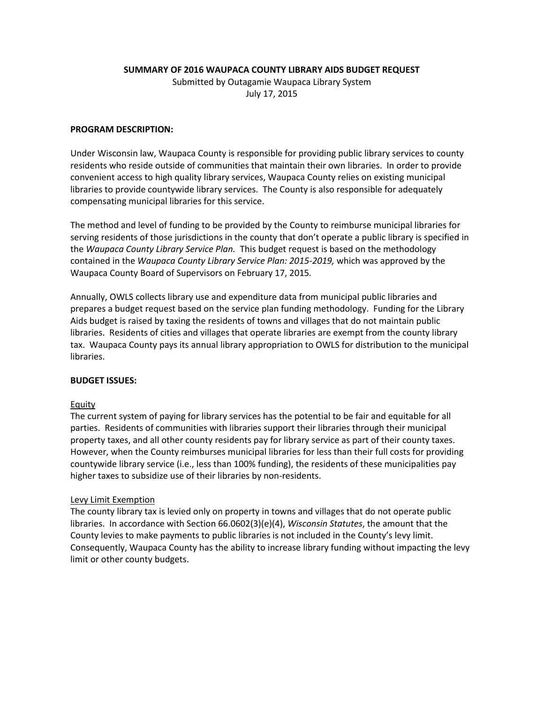**SUMMARY OF 2016 WAUPACA COUNTY LIBRARY AIDS BUDGET REQUEST**

Submitted by Outagamie Waupaca Library System July 17, 2015

## **PROGRAM DESCRIPTION:**

Under Wisconsin law, Waupaca County is responsible for providing public library services to county residents who reside outside of communities that maintain their own libraries. In order to provide convenient access to high quality library services, Waupaca County relies on existing municipal libraries to provide countywide library services. The County is also responsible for adequately compensating municipal libraries for this service.

The method and level of funding to be provided by the County to reimburse municipal libraries for serving residents of those jurisdictions in the county that don't operate a public library is specified in the *Waupaca County Library Service Plan.* This budget request is based on the methodology contained in the *Waupaca County Library Service Plan: 2015-2019,* which was approved by the Waupaca County Board of Supervisors on February 17, 2015*.*

Annually, OWLS collects library use and expenditure data from municipal public libraries and prepares a budget request based on the service plan funding methodology. Funding for the Library Aids budget is raised by taxing the residents of towns and villages that do not maintain public libraries. Residents of cities and villages that operate libraries are exempt from the county library tax. Waupaca County pays its annual library appropriation to OWLS for distribution to the municipal libraries.

### **BUDGET ISSUES:**

### Equity

The current system of paying for library services has the potential to be fair and equitable for all parties. Residents of communities with libraries support their libraries through their municipal property taxes, and all other county residents pay for library service as part of their county taxes. However, when the County reimburses municipal libraries for less than their full costs for providing countywide library service (i.e., less than 100% funding), the residents of these municipalities pay higher taxes to subsidize use of their libraries by non-residents.

### Levy Limit Exemption

The county library tax is levied only on property in towns and villages that do not operate public libraries. In accordance with Section 66.0602(3)(e)(4), *Wisconsin Statutes*, the amount that the County levies to make payments to public libraries is not included in the County's levy limit. Consequently, Waupaca County has the ability to increase library funding without impacting the levy limit or other county budgets.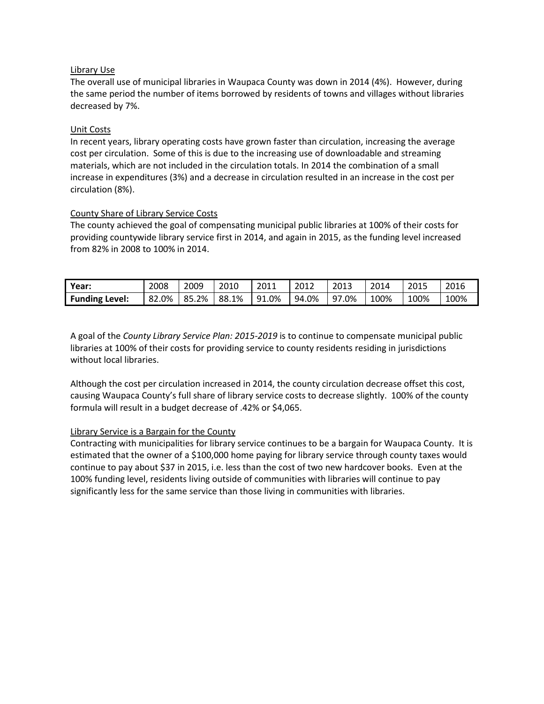## Library Use

The overall use of municipal libraries in Waupaca County was down in 2014 (4%). However, during the same period the number of items borrowed by residents of towns and villages without libraries decreased by 7%.

## Unit Costs

In recent years, library operating costs have grown faster than circulation, increasing the average cost per circulation. Some of this is due to the increasing use of downloadable and streaming materials, which are not included in the circulation totals. In 2014 the combination of a small increase in expenditures (3%) and a decrease in circulation resulted in an increase in the cost per circulation (8%).

## County Share of Library Service Costs

The county achieved the goal of compensating municipal public libraries at 100% of their costs for providing countywide library service first in 2014, and again in 2015, as the funding level increased from 82% in 2008 to 100% in 2014.

| Year:                 | 2008  | 2009  | 2010  | 2011  | 2012  | 2013       | 2014 | 2015 | 2016 |
|-----------------------|-------|-------|-------|-------|-------|------------|------|------|------|
| <b>Funding Level:</b> | 82.0% | 85.2% | 88.1% | 91.0% | 94.0% | 97<br>'.0% | 100% | 100% | 100% |

A goal of the *County Library Service Plan: 2015-2019* is to continue to compensate municipal public libraries at 100% of their costs for providing service to county residents residing in jurisdictions without local libraries.

Although the cost per circulation increased in 2014, the county circulation decrease offset this cost, causing Waupaca County's full share of library service costs to decrease slightly. 100% of the county formula will result in a budget decrease of .42% or \$4,065.

### Library Service is a Bargain for the County

Contracting with municipalities for library service continues to be a bargain for Waupaca County. It is estimated that the owner of a \$100,000 home paying for library service through county taxes would continue to pay about \$37 in 2015, i.e. less than the cost of two new hardcover books. Even at the 100% funding level, residents living outside of communities with libraries will continue to pay significantly less for the same service than those living in communities with libraries.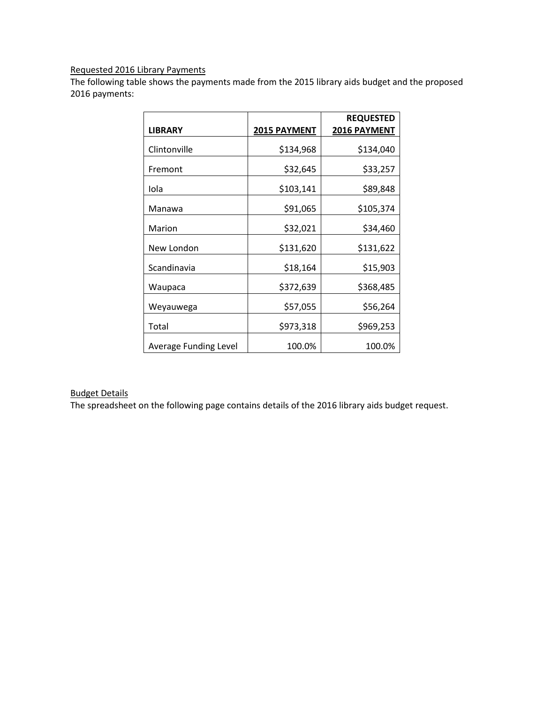# Requested 2016 Library Payments

The following table shows the payments made from the 2015 library aids budget and the proposed 2016 payments:

|                              |              | <b>REQUESTED</b> |  |  |
|------------------------------|--------------|------------------|--|--|
| <b>LIBRARY</b>               | 2015 PAYMENT | 2016 PAYMENT     |  |  |
| Clintonville                 | \$134,968    | \$134,040        |  |  |
| Fremont                      | \$32,645     | \$33,257         |  |  |
| Iola                         | \$103,141    | \$89,848         |  |  |
| Manawa                       | \$91,065     | \$105,374        |  |  |
| Marion                       | \$32,021     | \$34,460         |  |  |
| New London                   | \$131,620    | \$131,622        |  |  |
| Scandinavia                  | \$18,164     | \$15,903         |  |  |
| Waupaca                      | \$372,639    | \$368,485        |  |  |
| Weyauwega                    | \$57,055     | \$56,264         |  |  |
| Total                        | \$973,318    | \$969,253        |  |  |
| <b>Average Funding Level</b> | 100.0%       | 100.0%           |  |  |

## Budget Details

The spreadsheet on the following page contains details of the 2016 library aids budget request.